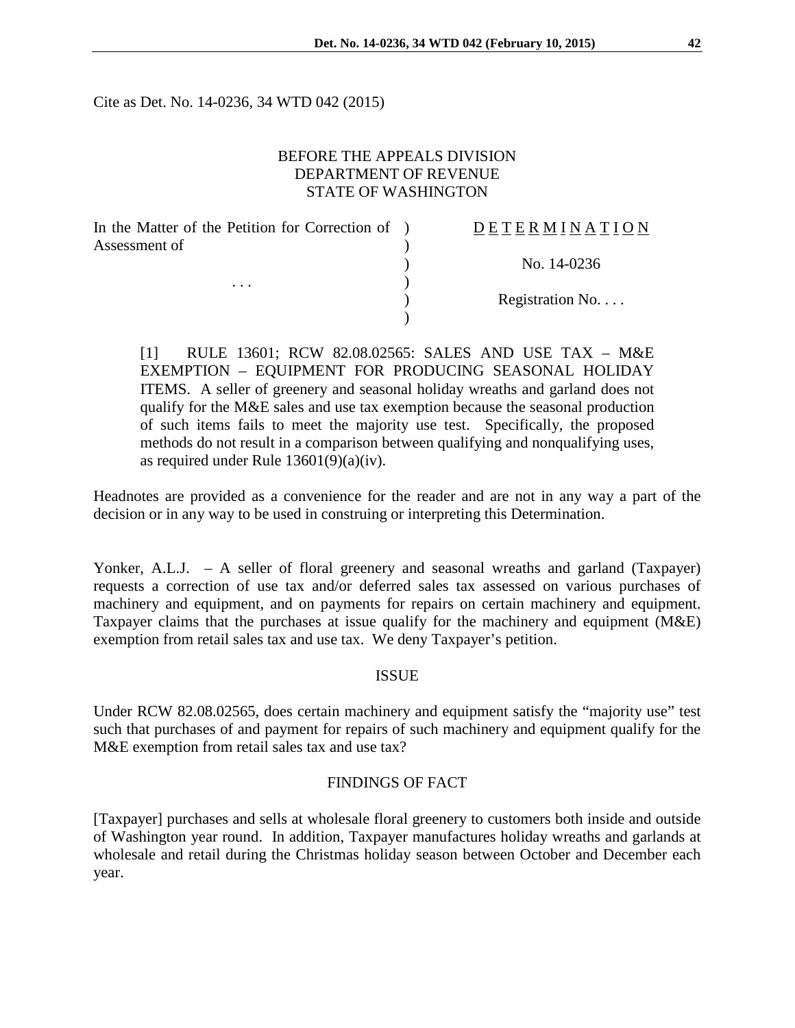Cite as Det. No. 14-0236, 34 WTD 042 (2015)

# BEFORE THE APPEALS DIVISION DEPARTMENT OF REVENUE STATE OF WASHINGTON

| In the Matter of the Petition for Correction of ) | <b>DETERMINATION</b> |
|---------------------------------------------------|----------------------|
| Assessment of<br>$\cdots$                         |                      |
|                                                   | No. 14-0236          |
|                                                   |                      |
|                                                   | Registration No      |
|                                                   |                      |

[1] RULE 13601; RCW 82.08.02565: SALES AND USE TAX – M&E EXEMPTION – EQUIPMENT FOR PRODUCING SEASONAL HOLIDAY ITEMS. A seller of greenery and seasonal holiday wreaths and garland does not qualify for the M&E sales and use tax exemption because the seasonal production of such items fails to meet the majority use test. Specifically, the proposed methods do not result in a comparison between qualifying and nonqualifying uses, as required under Rule 13601(9)(a)(iv).

Headnotes are provided as a convenience for the reader and are not in any way a part of the decision or in any way to be used in construing or interpreting this Determination.

Yonker, A.L.J. - A seller of floral greenery and seasonal wreaths and garland (Taxpayer) requests a correction of use tax and/or deferred sales tax assessed on various purchases of machinery and equipment, and on payments for repairs on certain machinery and equipment. Taxpayer claims that the purchases at issue qualify for the machinery and equipment (M&E) exemption from retail sales tax and use tax. We deny Taxpayer's petition.

#### ISSUE

Under RCW 82.08.02565, does certain machinery and equipment satisfy the "majority use" test such that purchases of and payment for repairs of such machinery and equipment qualify for the M&E exemption from retail sales tax and use tax?

#### FINDINGS OF FACT

[Taxpayer] purchases and sells at wholesale floral greenery to customers both inside and outside of Washington year round. In addition, Taxpayer manufactures holiday wreaths and garlands at wholesale and retail during the Christmas holiday season between October and December each year.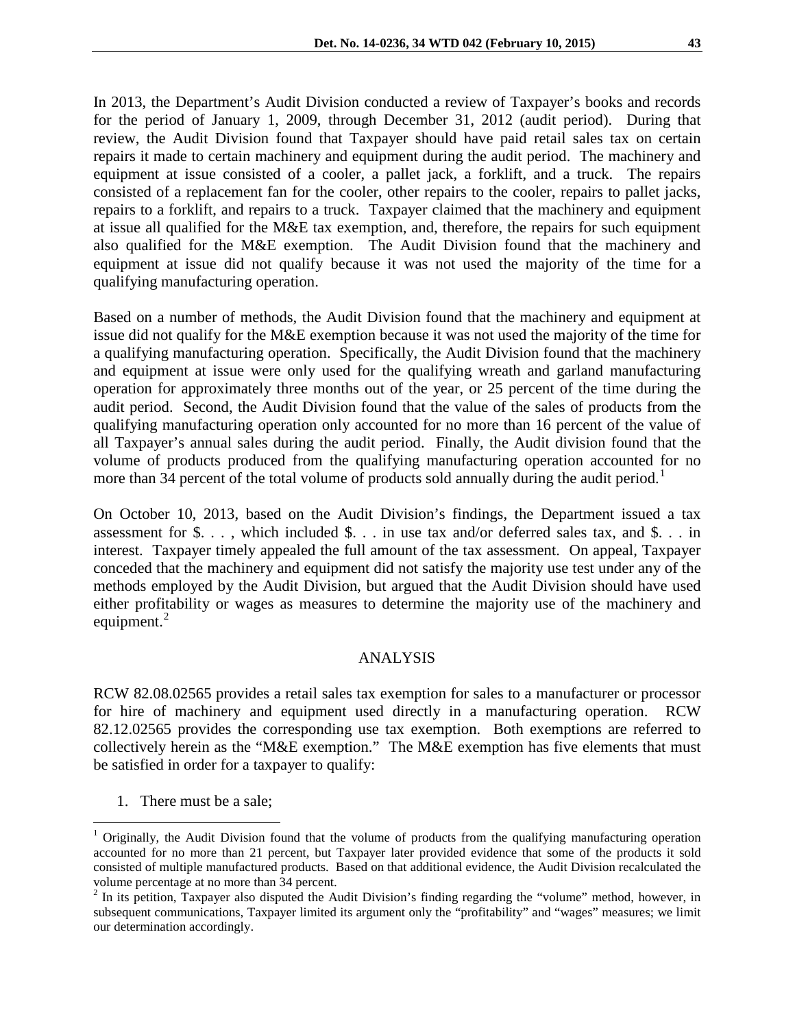In 2013, the Department's Audit Division conducted a review of Taxpayer's books and records for the period of January 1, 2009, through December 31, 2012 (audit period). During that review, the Audit Division found that Taxpayer should have paid retail sales tax on certain repairs it made to certain machinery and equipment during the audit period. The machinery and equipment at issue consisted of a cooler, a pallet jack, a forklift, and a truck. The repairs consisted of a replacement fan for the cooler, other repairs to the cooler, repairs to pallet jacks, repairs to a forklift, and repairs to a truck. Taxpayer claimed that the machinery and equipment at issue all qualified for the M&E tax exemption, and, therefore, the repairs for such equipment also qualified for the M&E exemption. The Audit Division found that the machinery and equipment at issue did not qualify because it was not used the majority of the time for a qualifying manufacturing operation.

Based on a number of methods, the Audit Division found that the machinery and equipment at issue did not qualify for the M&E exemption because it was not used the majority of the time for a qualifying manufacturing operation. Specifically, the Audit Division found that the machinery and equipment at issue were only used for the qualifying wreath and garland manufacturing operation for approximately three months out of the year, or 25 percent of the time during the audit period. Second, the Audit Division found that the value of the sales of products from the qualifying manufacturing operation only accounted for no more than 16 percent of the value of all Taxpayer's annual sales during the audit period. Finally, the Audit division found that the volume of products produced from the qualifying manufacturing operation accounted for no more than 34 percent of the total volume of products sold annually during the audit period.<sup>[1](#page-1-0)</sup>

On October 10, 2013, based on the Audit Division's findings, the Department issued a tax assessment for  $\$\dots$ , which included  $\$\dots$  in use tax and/or deferred sales tax, and  $\$\dots$  in interest. Taxpayer timely appealed the full amount of the tax assessment. On appeal, Taxpayer conceded that the machinery and equipment did not satisfy the majority use test under any of the methods employed by the Audit Division, but argued that the Audit Division should have used either profitability or wages as measures to determine the majority use of the machinery and equipment. $^{2}$  $^{2}$  $^{2}$ 

# ANALYSIS

RCW 82.08.02565 provides a retail sales tax exemption for sales to a manufacturer or processor for hire of machinery and equipment used directly in a manufacturing operation. RCW 82.12.02565 provides the corresponding use tax exemption. Both exemptions are referred to collectively herein as the "M&E exemption." The M&E exemption has five elements that must be satisfied in order for a taxpayer to qualify:

1. There must be a sale;

 $\overline{a}$ 

<span id="page-1-0"></span><sup>&</sup>lt;sup>1</sup> Originally, the Audit Division found that the volume of products from the qualifying manufacturing operation accounted for no more than 21 percent, but Taxpayer later provided evidence that some of the products it sold consisted of multiple manufactured products. Based on that additional evidence, the Audit Division recalculated the volume percentage at no more than 34 percent.

<span id="page-1-1"></span><sup>&</sup>lt;sup>2</sup> In its petition, Taxpayer also disputed the Audit Division's finding regarding the "volume" method, however, in subsequent communications, Taxpayer limited its argument only the "profitability" and "wages" measures; we limit our determination accordingly.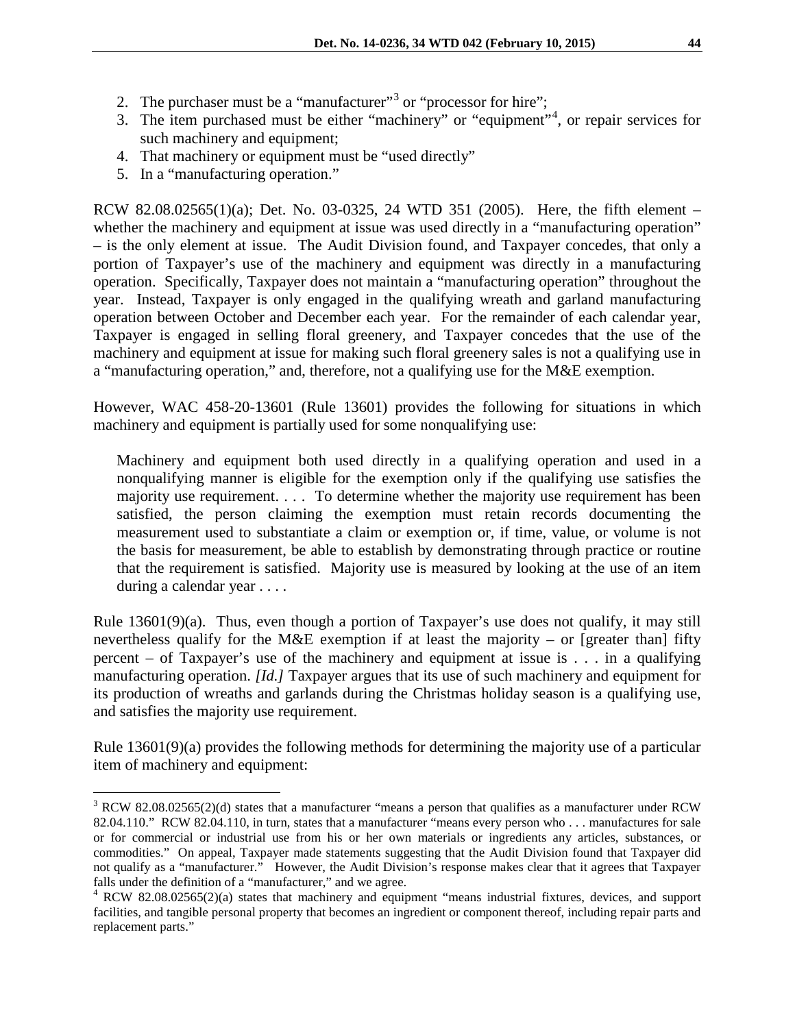- 2. The purchaser must be a "manufacturer"<sup>[3](#page-2-0)</sup> or "processor for hire";
- 3. The item purchased must be either "machinery" or "equipment"[4](#page-2-1) , or repair services for such machinery and equipment;
- 4. That machinery or equipment must be "used directly"
- 5. In a "manufacturing operation."

 $\overline{a}$ 

RCW 82.08.02565(1)(a); Det. No. 03-0325, 24 WTD 351 (2005). Here, the fifth element – whether the machinery and equipment at issue was used directly in a "manufacturing operation" – is the only element at issue. The Audit Division found, and Taxpayer concedes, that only a portion of Taxpayer's use of the machinery and equipment was directly in a manufacturing operation. Specifically, Taxpayer does not maintain a "manufacturing operation" throughout the year. Instead, Taxpayer is only engaged in the qualifying wreath and garland manufacturing operation between October and December each year. For the remainder of each calendar year, Taxpayer is engaged in selling floral greenery, and Taxpayer concedes that the use of the machinery and equipment at issue for making such floral greenery sales is not a qualifying use in a "manufacturing operation," and, therefore, not a qualifying use for the M&E exemption.

However, WAC 458-20-13601 (Rule 13601) provides the following for situations in which machinery and equipment is partially used for some nonqualifying use:

Machinery and equipment both used directly in a qualifying operation and used in a nonqualifying manner is eligible for the exemption only if the qualifying use satisfies the majority use requirement. . . . To determine whether the majority use requirement has been satisfied, the person claiming the exemption must retain records documenting the measurement used to substantiate a claim or exemption or, if time, value, or volume is not the basis for measurement, be able to establish by demonstrating through practice or routine that the requirement is satisfied. Majority use is measured by looking at the use of an item during a calendar year . . . .

Rule 13601(9)(a). Thus, even though a portion of Taxpayer's use does not qualify, it may still nevertheless qualify for the M&E exemption if at least the majority – or [greater than] fifty percent – of Taxpayer's use of the machinery and equipment at issue is . . . in a qualifying manufacturing operation. *[Id.]* Taxpayer argues that its use of such machinery and equipment for its production of wreaths and garlands during the Christmas holiday season is a qualifying use, and satisfies the majority use requirement.

Rule 13601(9)(a) provides the following methods for determining the majority use of a particular item of machinery and equipment:

<span id="page-2-0"></span> $3$  RCW 82.08.02565(2)(d) states that a manufacturer "means a person that qualifies as a manufacturer under RCW 82.04.110." RCW 82.04.110, in turn, states that a manufacturer "means every person who . . . manufactures for sale or for commercial or industrial use from his or her own materials or ingredients any articles, substances, or commodities." On appeal, Taxpayer made statements suggesting that the Audit Division found that Taxpayer did not qualify as a "manufacturer." However, the Audit Division's response makes clear that it agrees that Taxpayer falls under the definition of a "manufacturer," and we agree.

<span id="page-2-1"></span><sup>4</sup> RCW 82.08.02565(2)(a) states that machinery and equipment "means industrial fixtures, devices, and support facilities, and tangible personal property that becomes an ingredient or component thereof, including repair parts and replacement parts."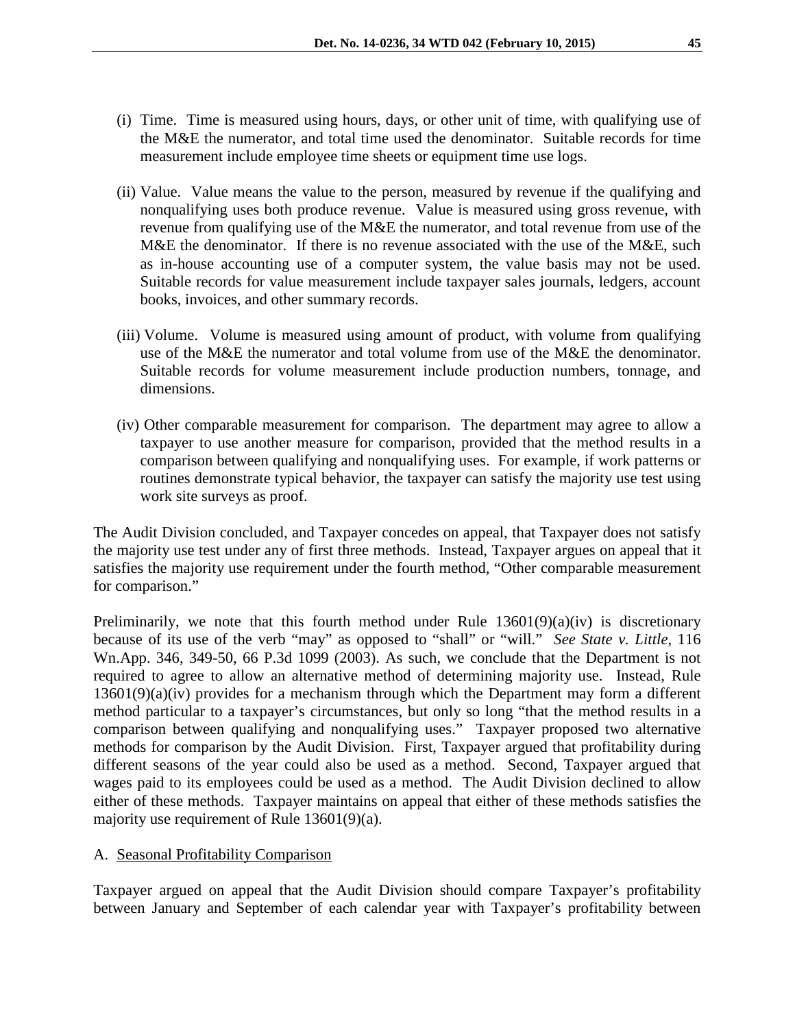- (i) Time. Time is measured using hours, days, or other unit of time, with qualifying use of the M&E the numerator, and total time used the denominator. Suitable records for time measurement include employee time sheets or equipment time use logs.
- (ii) Value. Value means the value to the person, measured by revenue if the qualifying and nonqualifying uses both produce revenue. Value is measured using gross revenue, with revenue from qualifying use of the M&E the numerator, and total revenue from use of the M&E the denominator. If there is no revenue associated with the use of the M&E, such as in-house accounting use of a computer system, the value basis may not be used. Suitable records for value measurement include taxpayer sales journals, ledgers, account books, invoices, and other summary records.
- (iii) Volume. Volume is measured using amount of product, with volume from qualifying use of the M&E the numerator and total volume from use of the M&E the denominator. Suitable records for volume measurement include production numbers, tonnage, and dimensions.
- (iv) Other comparable measurement for comparison. The department may agree to allow a taxpayer to use another measure for comparison, provided that the method results in a comparison between qualifying and nonqualifying uses. For example, if work patterns or routines demonstrate typical behavior, the taxpayer can satisfy the majority use test using work site surveys as proof.

The Audit Division concluded, and Taxpayer concedes on appeal, that Taxpayer does not satisfy the majority use test under any of first three methods. Instead, Taxpayer argues on appeal that it satisfies the majority use requirement under the fourth method, "Other comparable measurement for comparison."

Preliminarily, we note that this fourth method under Rule  $13601(9)(a)(iv)$  is discretionary because of its use of the verb "may" as opposed to "shall" or "will." *See State v. Little*, 116 Wn.App. 346, 349-50, 66 P.3d 1099 (2003). As such, we conclude that the Department is not required to agree to allow an alternative method of determining majority use. Instead, Rule 13601(9)(a)(iv) provides for a mechanism through which the Department may form a different method particular to a taxpayer's circumstances, but only so long "that the method results in a comparison between qualifying and nonqualifying uses." Taxpayer proposed two alternative methods for comparison by the Audit Division. First, Taxpayer argued that profitability during different seasons of the year could also be used as a method. Second, Taxpayer argued that wages paid to its employees could be used as a method. The Audit Division declined to allow either of these methods. Taxpayer maintains on appeal that either of these methods satisfies the majority use requirement of Rule 13601(9)(a).

#### A. Seasonal Profitability Comparison

Taxpayer argued on appeal that the Audit Division should compare Taxpayer's profitability between January and September of each calendar year with Taxpayer's profitability between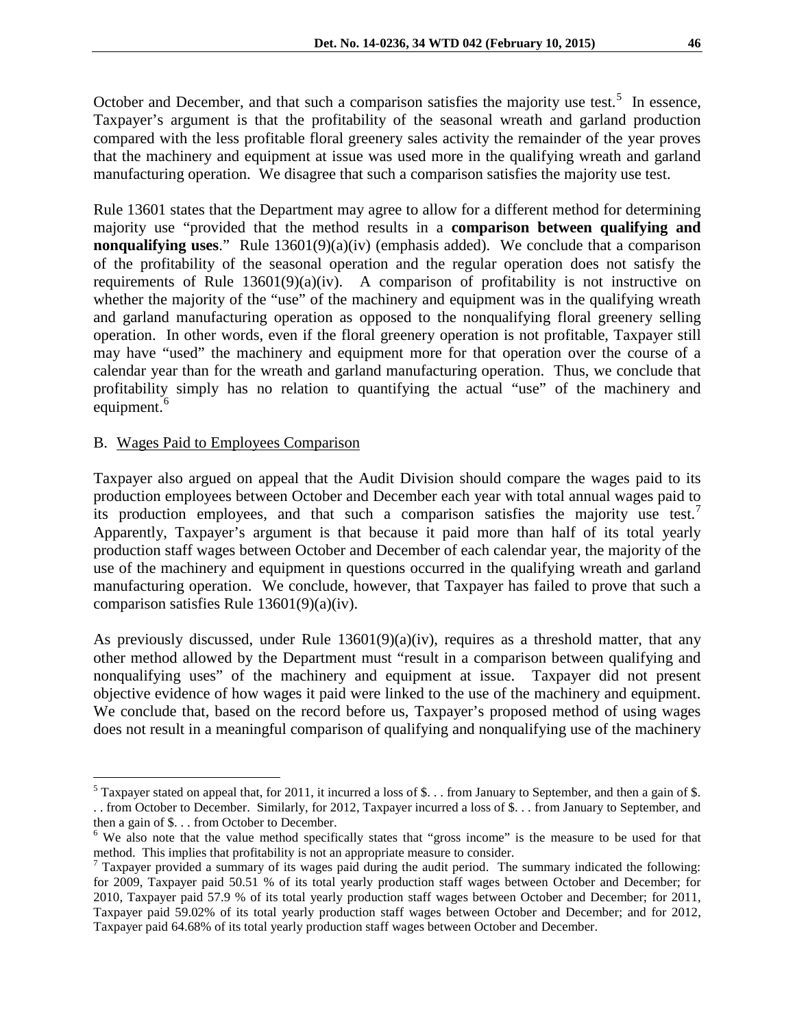October and December, and that such a comparison satisfies the majority use test.<sup>[5](#page-4-0)</sup> In essence, Taxpayer's argument is that the profitability of the seasonal wreath and garland production compared with the less profitable floral greenery sales activity the remainder of the year proves that the machinery and equipment at issue was used more in the qualifying wreath and garland manufacturing operation. We disagree that such a comparison satisfies the majority use test.

Rule 13601 states that the Department may agree to allow for a different method for determining majority use "provided that the method results in a **comparison between qualifying and nonqualifying uses.**" Rule 13601(9)(a)(iv) (emphasis added). We conclude that a comparison of the profitability of the seasonal operation and the regular operation does not satisfy the requirements of Rule  $13601(9)(a)(iv)$ . A comparison of profitability is not instructive on whether the majority of the "use" of the machinery and equipment was in the qualifying wreath and garland manufacturing operation as opposed to the nonqualifying floral greenery selling operation. In other words, even if the floral greenery operation is not profitable, Taxpayer still may have "used" the machinery and equipment more for that operation over the course of a calendar year than for the wreath and garland manufacturing operation. Thus, we conclude that profitability simply has no relation to quantifying the actual "use" of the machinery and equipment.<sup>[6](#page-4-1)</sup>

### B. Wages Paid to Employees Comparison

 $\overline{a}$ 

Taxpayer also argued on appeal that the Audit Division should compare the wages paid to its production employees between October and December each year with total annual wages paid to its production employees, and that such a comparison satisfies the majority use test.<sup>[7](#page-4-2)</sup> Apparently, Taxpayer's argument is that because it paid more than half of its total yearly production staff wages between October and December of each calendar year, the majority of the use of the machinery and equipment in questions occurred in the qualifying wreath and garland manufacturing operation. We conclude, however, that Taxpayer has failed to prove that such a comparison satisfies Rule 13601(9)(a)(iv).

As previously discussed, under Rule 13601(9)(a)(iv), requires as a threshold matter, that any other method allowed by the Department must "result in a comparison between qualifying and nonqualifying uses" of the machinery and equipment at issue. Taxpayer did not present objective evidence of how wages it paid were linked to the use of the machinery and equipment. We conclude that, based on the record before us, Taxpayer's proposed method of using wages does not result in a meaningful comparison of qualifying and nonqualifying use of the machinery

<span id="page-4-0"></span> $5$  Taxpayer stated on appeal that, for 2011, it incurred a loss of \$. . . from January to September, and then a gain of \$. . . from October to December. Similarly, for 2012, Taxpayer incurred a loss of \$. . . from January to September, and

<span id="page-4-1"></span> $6$  We also note that the value method specifically states that "gross income" is the measure to be used for that method. This implies that profitability is not an appropriate measure to consider.<br><sup>7</sup> Taxpayer provided a summary of its wages paid during the audit period. The summary indicated the following:

<span id="page-4-2"></span>for 2009, Taxpayer paid 50.51 % of its total yearly production staff wages between October and December; for 2010, Taxpayer paid 57.9 % of its total yearly production staff wages between October and December; for 2011, Taxpayer paid 59.02% of its total yearly production staff wages between October and December; and for 2012, Taxpayer paid 64.68% of its total yearly production staff wages between October and December.